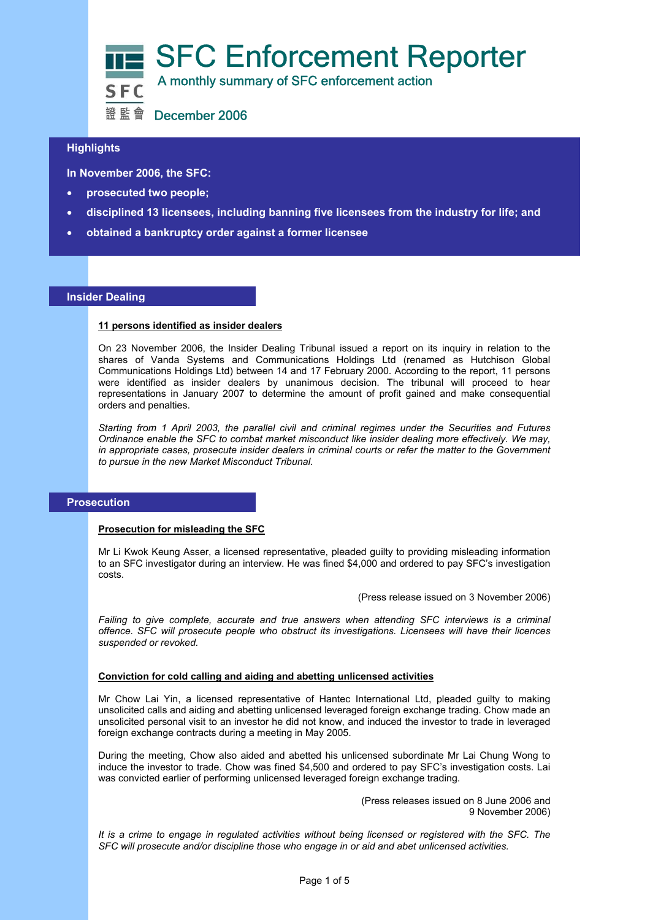

# **Highlights**

**In November 2006, the SFC:** 

- **prosecuted two people;**
- **disciplined 13 licensees, including banning five licensees from the industry for life; and**
- **obtained a bankruptcy order against a former licensee**

#### **Insider Dealing**

#### **11 persons identified as insider dealers**

On 23 November 2006, the Insider Dealing Tribunal issued a report on its inquiry in relation to the shares of Vanda Systems and Communications Holdings Ltd (renamed as Hutchison Global Communications Holdings Ltd) between 14 and 17 February 2000. According to the report, 11 persons were identified as insider dealers by unanimous decision. The tribunal will proceed to hear representations in January 2007 to determine the amount of profit gained and make consequential orders and penalties.

*Starting from 1 April 2003, the parallel civil and criminal regimes under the Securities and Futures Ordinance enable the SFC to combat market misconduct like insider dealing more effectively. We may, in appropriate cases, prosecute insider dealers in criminal courts or refer the matter to the Government to pursue in the new Market Misconduct Tribunal.*

#### **Prosecution**

#### **Prosecution for misleading the SFC**

Mr Li Kwok Keung Asser, a licensed representative, pleaded guilty to providing misleading information to an SFC investigator during an interview. He was fined \$4,000 and ordered to pay SFC's investigation costs.

(Press release issued on 3 November 2006)

*Failing to give complete, accurate and true answers when attending SFC interviews is a criminal offence. SFC will prosecute people who obstruct its investigations. Licensees will have their licences suspended or revoked.* 

# **Conviction for cold calling and aiding and abetting unlicensed activities**

Mr Chow Lai Yin, a licensed representative of Hantec International Ltd, pleaded guilty to making unsolicited calls and aiding and abetting unlicensed leveraged foreign exchange trading. Chow made an unsolicited personal visit to an investor he did not know, and induced the investor to trade in leveraged foreign exchange contracts during a meeting in May 2005.

During the meeting, Chow also aided and abetted his unlicensed subordinate Mr Lai Chung Wong to induce the investor to trade. Chow was fined \$4,500 and ordered to pay SFC's investigation costs. Lai was convicted earlier of performing unlicensed leveraged foreign exchange trading.

> (Press releases issued on 8 June 2006 and 9 November 2006)

*It is a crime to engage in regulated activities without being licensed or registered with the SFC. The SFC will prosecute and/or discipline those who engage in or aid and abet unlicensed activities.*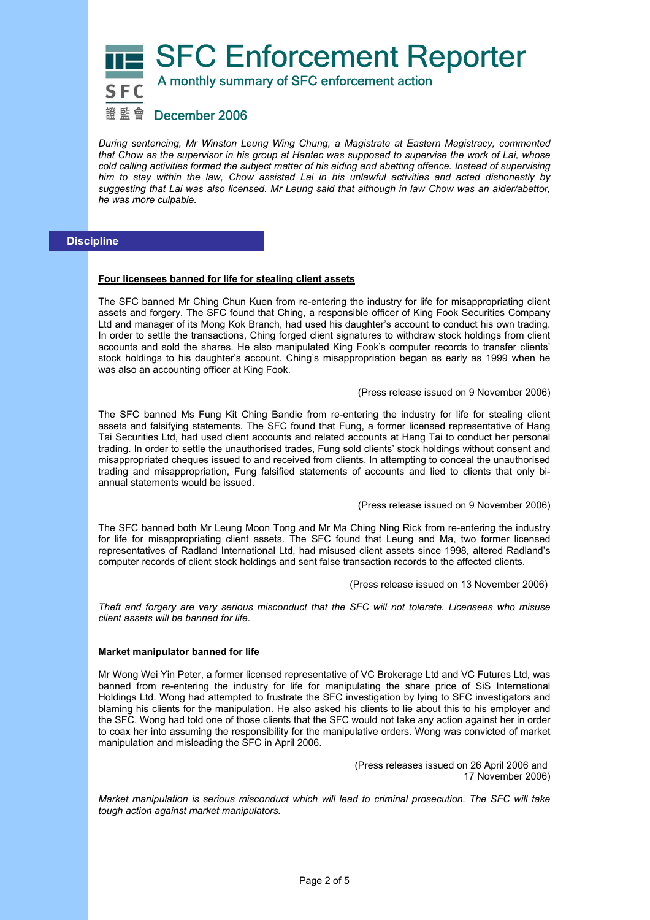SFC Enforcement Reporter



A monthly summary of SFC enforcement action

# 證監會 December 2006

*During sentencing, Mr Winston Leung Wing Chung, a Magistrate at Eastern Magistracy, commented that Chow as the supervisor in his group at Hantec was supposed to supervise the work of Lai, whose cold calling activities formed the subject matter of his aiding and abetting offence. Instead of supervising him to stay within the law, Chow assisted Lai in his unlawful activities and acted dishonestly by suggesting that Lai was also licensed. Mr Leung said that although in law Chow was an aider/abettor, he was more culpable.* 

# **Discipline**

#### **Four licensees banned for life for stealing client assets**

The SFC banned Mr Ching Chun Kuen from re-entering the industry for life for misappropriating client assets and forgery. The SFC found that Ching, a responsible officer of King Fook Securities Company Ltd and manager of its Mong Kok Branch, had used his daughter's account to conduct his own trading. In order to settle the transactions, Ching forged client signatures to withdraw stock holdings from client accounts and sold the shares. He also manipulated King Fook's computer records to transfer clients' stock holdings to his daughter's account. Ching's misappropriation began as early as 1999 when he was also an accounting officer at King Fook.

(Press release issued on 9 November 2006)

The SFC banned Ms Fung Kit Ching Bandie from re-entering the industry for life for stealing client assets and falsifying statements. The SFC found that Fung, a former licensed representative of Hang Tai Securities Ltd, had used client accounts and related accounts at Hang Tai to conduct her personal trading. In order to settle the unauthorised trades, Fung sold clients' stock holdings without consent and misappropriated cheques issued to and received from clients. In attempting to conceal the unauthorised trading and misappropriation, Fung falsified statements of accounts and lied to clients that only biannual statements would be issued.

#### (Press release issued on 9 November 2006)

The SFC banned both Mr Leung Moon Tong and Mr Ma Ching Ning Rick from re-entering the industry for life for misappropriating client assets. The SFC found that Leung and Ma, two former licensed representatives of Radland International Ltd, had misused client assets since 1998, altered Radland's computer records of client stock holdings and sent false transaction records to the affected clients.

(Press release issued on 13 November 2006)

*Theft and forgery are very serious misconduct that the SFC will not tolerate. Licensees who misuse client assets will be banned for life.* 

#### **Market manipulator banned for life**

Mr Wong Wei Yin Peter, a former licensed representative of VC Brokerage Ltd and VC Futures Ltd, was banned from re-entering the industry for life for manipulating the share price of SiS International Holdings Ltd. Wong had attempted to frustrate the SFC investigation by lying to SFC investigators and blaming his clients for the manipulation. He also asked his clients to lie about this to his employer and the SFC. Wong had told one of those clients that the SFC would not take any action against her in order to coax her into assuming the responsibility for the manipulative orders. Wong was convicted of market manipulation and misleading the SFC in April 2006.

> (Press releases issued on 26 April 2006 and 17 November 2006)

*Market manipulation is serious misconduct which will lead to criminal prosecution. The SFC will take tough action against market manipulators.*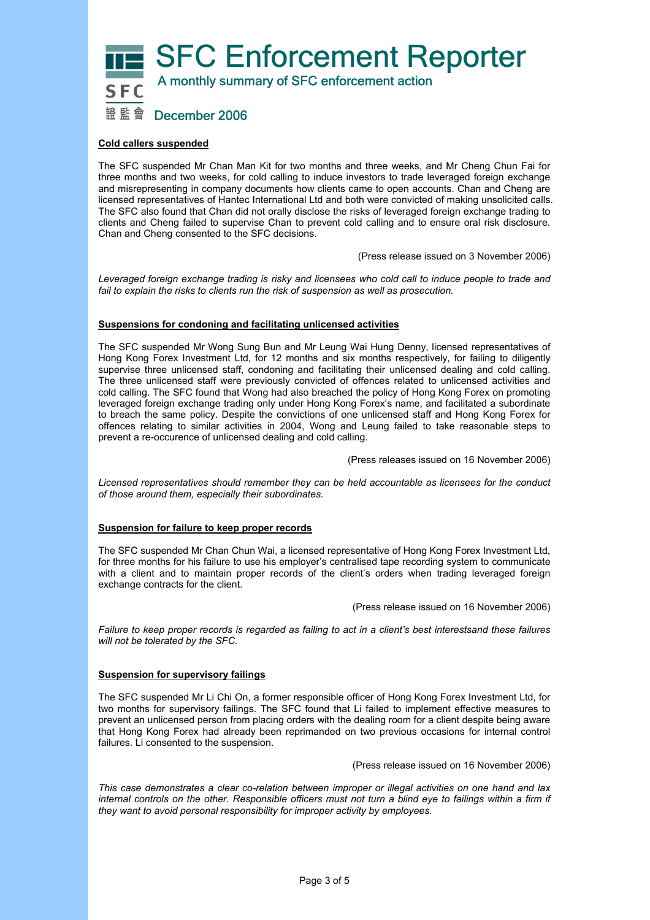SFC Enforcement Reporter



A monthly summary of SFC enforcement action

# 證 監 會 December 2006

# **Cold callers suspended**

The SFC suspended Mr Chan Man Kit for two months and three weeks, and Mr Cheng Chun Fai for three months and two weeks, for cold calling to induce investors to trade leveraged foreign exchange and misrepresenting in company documents how clients came to open accounts. Chan and Cheng are licensed representatives of Hantec International Ltd and both were convicted of making unsolicited calls. The SFC also found that Chan did not orally disclose the risks of leveraged foreign exchange trading to clients and Cheng failed to supervise Chan to prevent cold calling and to ensure oral risk disclosure. Chan and Cheng consented to the SFC decisions.

(Press release issued on 3 November 2006)

*Leveraged foreign exchange trading is risky and licensees who cold call to induce people to trade and fail to explain the risks to clients run the risk of suspension as well as prosecution.* 

#### **Suspensions for condoning and facilitating unlicensed activities**

The SFC suspended Mr Wong Sung Bun and Mr Leung Wai Hung Denny, licensed representatives of Hong Kong Forex Investment Ltd, for 12 months and six months respectively, for failing to diligently supervise three unlicensed staff, condoning and facilitating their unlicensed dealing and cold calling. The three unlicensed staff were previously convicted of offences related to unlicensed activities and cold calling. The SFC found that Wong had also breached the policy of Hong Kong Forex on promoting leveraged foreign exchange trading only under Hong Kong Forex's name, and facilitated a subordinate to breach the same policy. Despite the convictions of one unlicensed staff and Hong Kong Forex for offences relating to similar activities in 2004, Wong and Leung failed to take reasonable steps to prevent a re-occurence of unlicensed dealing and cold calling.

(Press releases issued on 16 November 2006)

*Licensed representatives should remember they can be held accountable as licensees for the conduct of those around them, especially their subordinates.* 

#### **Suspension for failure to keep proper records**

The SFC suspended Mr Chan Chun Wai, a licensed representative of Hong Kong Forex Investment Ltd, for three months for his failure to use his employer's centralised tape recording system to communicate with a client and to maintain proper records of the client's orders when trading leveraged foreign exchange contracts for the client.

(Press release issued on 16 November 2006)

*Failure to keep proper records is regarded as failing to act in a client's best interestsand these failures will not be tolerated by the SFC.* 

#### **Suspension for supervisory failings**

The SFC suspended Mr Li Chi On, a former responsible officer of Hong Kong Forex Investment Ltd, for two months for supervisory failings. The SFC found that Li failed to implement effective measures to prevent an unlicensed person from placing orders with the dealing room for a client despite being aware that Hong Kong Forex had already been reprimanded on two previous occasions for internal control failures. Li consented to the suspension.

(Press release issued on 16 November 2006)

*This case demonstrates a clear co-relation between improper or illegal activities on one hand and lax internal controls on the other. Responsible officers must not turn a blind eye to failings within a firm if they want to avoid personal responsibility for improper activity by employees.*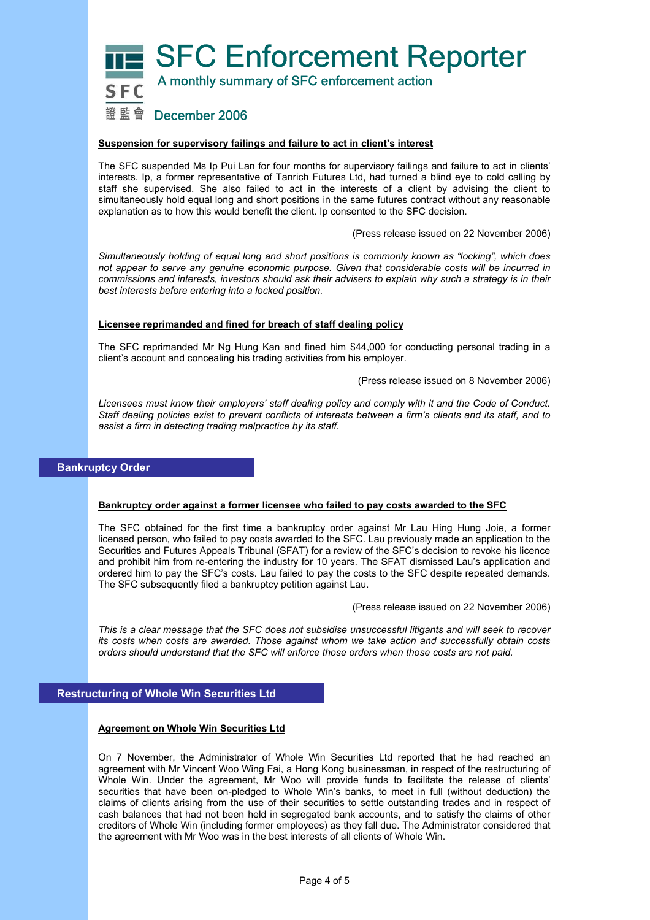SFC Enforcement Reporter



A monthly summary of SFC enforcement action

# 證監會 December 2006

# **Suspension for supervisory failings and failure to act in client's interest**

The SFC suspended Ms Ip Pui Lan for four months for supervisory failings and failure to act in clients' interests. Ip, a former representative of Tanrich Futures Ltd, had turned a blind eye to cold calling by staff she supervised. She also failed to act in the interests of a client by advising the client to simultaneously hold equal long and short positions in the same futures contract without any reasonable explanation as to how this would benefit the client. Ip consented to the SFC decision.

(Press release issued on 22 November 2006)

*Simultaneously holding of equal long and short positions is commonly known as "locking", which does not appear to serve any genuine economic purpose. Given that considerable costs will be incurred in commissions and interests, investors should ask their advisers to explain why such a strategy is in their best interests before entering into a locked position.* 

# **Licensee reprimanded and fined for breach of staff dealing policy**

The SFC reprimanded Mr Ng Hung Kan and fined him \$44,000 for conducting personal trading in a client's account and concealing his trading activities from his employer.

(Press release issued on 8 November 2006)

*Licensees must know their employers' staff dealing policy and comply with it and the Code of Conduct. Staff dealing policies exist to prevent conflicts of interests between a firm's clients and its staff, and to assist a firm in detecting trading malpractice by its staff.* 

# **Bankruptcy Order**

# **Bankruptcy order against a former licensee who failed to pay costs awarded to the SFC**

The SFC obtained for the first time a bankruptcy order against Mr Lau Hing Hung Joie, a former licensed person, who failed to pay costs awarded to the SFC. Lau previously made an application to the Securities and Futures Appeals Tribunal (SFAT) for a review of the SFC's decision to revoke his licence and prohibit him from re-entering the industry for 10 years. The SFAT dismissed Lau's application and ordered him to pay the SFC's costs. Lau failed to pay the costs to the SFC despite repeated demands. The SFC subsequently filed a bankruptcy petition against Lau.

(Press release issued on 22 November 2006)

*This is a clear message that the SFC does not subsidise unsuccessful litigants and will seek to recover its costs when costs are awarded. Those against whom we take action and successfully obtain costs orders should understand that the SFC will enforce those orders when those costs are not paid.* 

# **Restructuring of Whole Win Securities Ltd**

#### **Agreement on Whole Win Securities Ltd**

On 7 November, the Administrator of Whole Win Securities Ltd reported that he had reached an agreement with Mr Vincent Woo Wing Fai, a Hong Kong businessman, in respect of the restructuring of Whole Win. Under the agreement, Mr Woo will provide funds to facilitate the release of clients' securities that have been on-pledged to Whole Win's banks, to meet in full (without deduction) the claims of clients arising from the use of their securities to settle outstanding trades and in respect of cash balances that had not been held in segregated bank accounts, and to satisfy the claims of other creditors of Whole Win (including former employees) as they fall due. The Administrator considered that the agreement with Mr Woo was in the best interests of all clients of Whole Win.